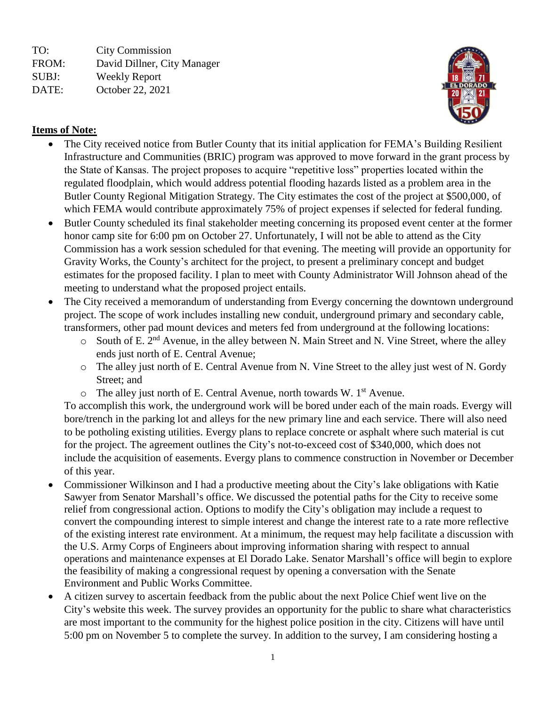TO: City Commission FROM: David Dillner, City Manager SUBJ: Weekly Report DATE: October 22, 2021



## **Items of Note:**

- The City received notice from Butler County that its initial application for FEMA's Building Resilient Infrastructure and Communities (BRIC) program was approved to move forward in the grant process by the State of Kansas. The project proposes to acquire "repetitive loss" properties located within the regulated floodplain, which would address potential flooding hazards listed as a problem area in the Butler County Regional Mitigation Strategy. The City estimates the cost of the project at \$500,000, of which FEMA would contribute approximately 75% of project expenses if selected for federal funding.
- Butler County scheduled its final stakeholder meeting concerning its proposed event center at the former honor camp site for 6:00 pm on October 27. Unfortunately, I will not be able to attend as the City Commission has a work session scheduled for that evening. The meeting will provide an opportunity for Gravity Works, the County's architect for the project, to present a preliminary concept and budget estimates for the proposed facility. I plan to meet with County Administrator Will Johnson ahead of the meeting to understand what the proposed project entails.
- The City received a memorandum of understanding from Evergy concerning the downtown underground project. The scope of work includes installing new conduit, underground primary and secondary cable, transformers, other pad mount devices and meters fed from underground at the following locations:
	- $\circ$  South of E. 2<sup>nd</sup> Avenue, in the alley between N. Main Street and N. Vine Street, where the alley ends just north of E. Central Avenue;
	- o The alley just north of E. Central Avenue from N. Vine Street to the alley just west of N. Gordy Street; and
	- $\circ$  The alley just north of E. Central Avenue, north towards W. 1<sup>st</sup> Avenue.

To accomplish this work, the underground work will be bored under each of the main roads. Evergy will bore/trench in the parking lot and alleys for the new primary line and each service. There will also need to be potholing existing utilities. Evergy plans to replace concrete or asphalt where such material is cut for the project. The agreement outlines the City's not-to-exceed cost of \$340,000, which does not include the acquisition of easements. Evergy plans to commence construction in November or December of this year.

- Commissioner Wilkinson and I had a productive meeting about the City's lake obligations with Katie Sawyer from Senator Marshall's office. We discussed the potential paths for the City to receive some relief from congressional action. Options to modify the City's obligation may include a request to convert the compounding interest to simple interest and change the interest rate to a rate more reflective of the existing interest rate environment. At a minimum, the request may help facilitate a discussion with the U.S. Army Corps of Engineers about improving information sharing with respect to annual operations and maintenance expenses at El Dorado Lake. Senator Marshall's office will begin to explore the feasibility of making a congressional request by opening a conversation with the Senate Environment and Public Works Committee.
- A citizen survey to ascertain feedback from the public about the next Police Chief went live on the City's website this week. The survey provides an opportunity for the public to share what characteristics are most important to the community for the highest police position in the city. Citizens will have until 5:00 pm on November 5 to complete the survey. In addition to the survey, I am considering hosting a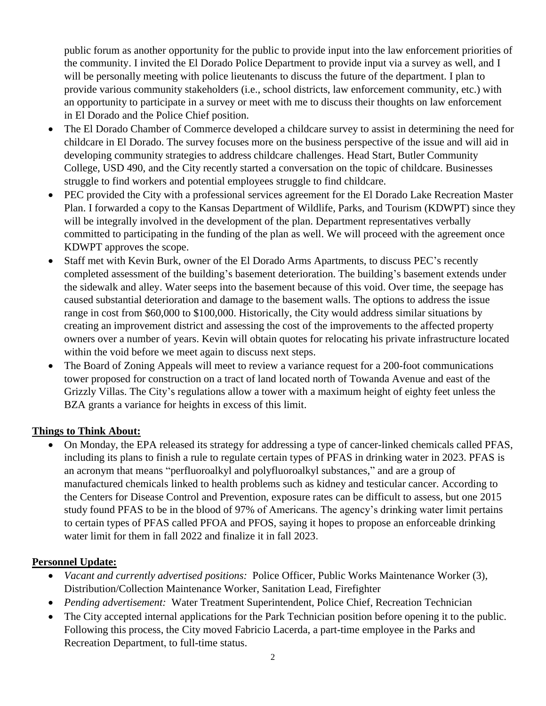public forum as another opportunity for the public to provide input into the law enforcement priorities of the community. I invited the El Dorado Police Department to provide input via a survey as well, and I will be personally meeting with police lieutenants to discuss the future of the department. I plan to provide various community stakeholders (i.e., school districts, law enforcement community, etc.) with an opportunity to participate in a survey or meet with me to discuss their thoughts on law enforcement in El Dorado and the Police Chief position.

- The El Dorado Chamber of Commerce developed a childcare survey to assist in determining the need for childcare in El Dorado. The survey focuses more on the business perspective of the issue and will aid in developing community strategies to address childcare challenges. Head Start, Butler Community College, USD 490, and the City recently started a conversation on the topic of childcare. Businesses struggle to find workers and potential employees struggle to find childcare.
- PEC provided the City with a professional services agreement for the El Dorado Lake Recreation Master Plan. I forwarded a copy to the Kansas Department of Wildlife, Parks, and Tourism (KDWPT) since they will be integrally involved in the development of the plan. Department representatives verbally committed to participating in the funding of the plan as well. We will proceed with the agreement once KDWPT approves the scope.
- Staff met with Kevin Burk, owner of the El Dorado Arms Apartments, to discuss PEC's recently completed assessment of the building's basement deterioration. The building's basement extends under the sidewalk and alley. Water seeps into the basement because of this void. Over time, the seepage has caused substantial deterioration and damage to the basement walls. The options to address the issue range in cost from \$60,000 to \$100,000. Historically, the City would address similar situations by creating an improvement district and assessing the cost of the improvements to the affected property owners over a number of years. Kevin will obtain quotes for relocating his private infrastructure located within the void before we meet again to discuss next steps.
- The Board of Zoning Appeals will meet to review a variance request for a 200-foot communications tower proposed for construction on a tract of land located north of Towanda Avenue and east of the Grizzly Villas. The City's regulations allow a tower with a maximum height of eighty feet unless the BZA grants a variance for heights in excess of this limit.

## **Things to Think About:**

 On Monday, the EPA released its strategy for addressing a type of cancer-linked chemicals called PFAS, including its plans to finish a rule to regulate certain types of PFAS in drinking water in 2023. PFAS is an acronym that means "perfluoroalkyl and polyfluoroalkyl substances," and are a group of manufactured chemicals linked to health problems such as kidney and testicular cancer. According to the Centers for Disease Control and Prevention, exposure rates can be difficult to assess, but one 2015 study found PFAS to be in the blood of 97% of Americans. The agency's drinking water limit pertains to certain types of PFAS called PFOA and PFOS, saying it hopes to propose an enforceable drinking water limit for them in fall 2022 and finalize it in fall 2023.

## **Personnel Update:**

- *Vacant and currently advertised positions:* Police Officer, Public Works Maintenance Worker (3), Distribution/Collection Maintenance Worker, Sanitation Lead, Firefighter
- *Pending advertisement:* Water Treatment Superintendent, Police Chief, Recreation Technician
- The City accepted internal applications for the Park Technician position before opening it to the public. Following this process, the City moved Fabricio Lacerda, a part-time employee in the Parks and Recreation Department, to full-time status.